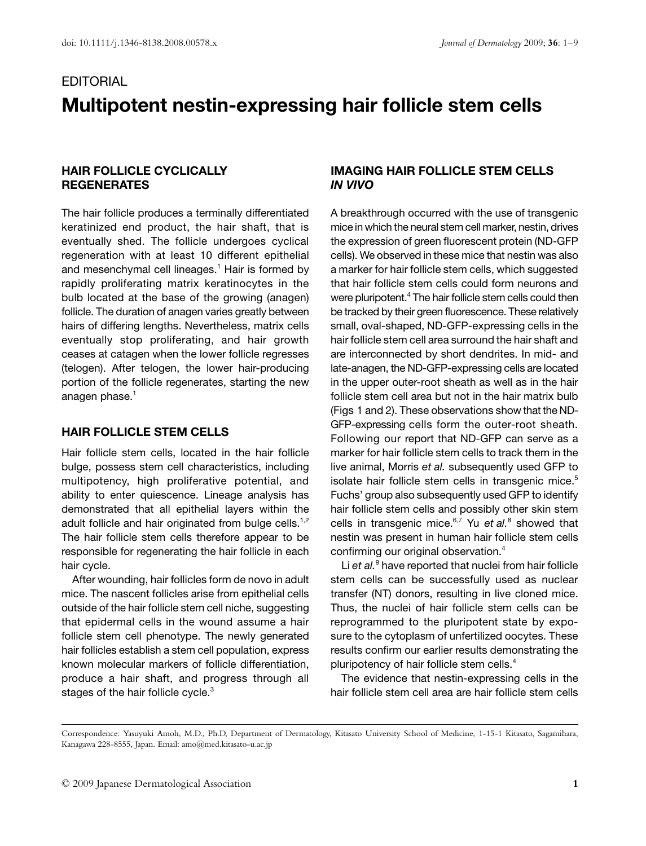# **EDITORIAL Multipotent nestin-expressing hair follicle stem cells**

### **HAIR FOLLICLE CYCLICALLY REGENERATES**

The hair follicle produces a terminally differentiated keratinized end product, the hair shaft, that is eventually shed. The follicle undergoes cyclical regeneration with at least 10 different epithelial and mesenchymal cell lineages.<sup>1</sup> Hair is formed by rapidly proliferating matrix keratinocytes in the bulb located at the base of the growing (anagen) follicle. The duration of anagen varies greatly between hairs of differing lengths. Nevertheless, matrix cells eventually stop proliferating, and hair growth ceases at catagen when the lower follicle regresses (telogen). After telogen, the lower hair-producing portion of the follicle regenerates, starting the new anagen phase.<sup>1</sup>

#### **HAIR FOLLICLE STEM CELLS**

Hair follicle stem cells, located in the hair follicle bulge, possess stem cell characteristics, including multipotency, high proliferative potential, and ability to enter quiescence. Lineage analysis has demonstrated that all epithelial layers within the adult follicle and hair originated from bulge cells.<sup>1,2</sup> The hair follicle stem cells therefore appear to be responsible for regenerating the hair follicle in each hair cycle.

After wounding, hair follicles form de novo in adult mice. The nascent follicles arise from epithelial cells outside of the hair follicle stem cell niche, suggesting that epidermal cells in the wound assume a hair follicle stem cell phenotype. The newly generated hair follicles establish a stem cell population, express known molecular markers of follicle differentiation, produce a hair shaft, and progress through all stages of the hair follicle cycle.<sup>3</sup>

# **IMAGING HAIR FOLLICLE STEM CELLS**  *IN VIVO*

A breakthrough occurred with the use of transgenic mice in which the neural stem cell marker, nestin, drives the expression of green fluorescent protein (ND-GFP cells). We observed in these mice that nestin was also a marker for hair follicle stem cells, which suggested that hair follicle stem cells could form neurons and were pluripotent.4 The hair follicle stem cells could then be tracked by their green fluorescence. These relatively small, oval-shaped, ND-GFP-expressing cells in the hair follicle stem cell area surround the hair shaft and are interconnected by short dendrites. In mid- and late-anagen, the ND-GFP-expressing cells are located in the upper outer-root sheath as well as in the hair follicle stem cell area but not in the hair matrix bulb (Figs 1 and 2). These observations show that the ND-GFP-expressing cells form the outer-root sheath. Following our report that ND-GFP can serve as a marker for hair follicle stem cells to track them in the live animal, Morris *et al.* subsequently used GFP to isolate hair follicle stem cells in transgenic mice.<sup>5</sup> Fuchs' group also subsequently used GFP to identify hair follicle stem cells and possibly other skin stem cells in transgenic mice.<sup>6,7</sup> Yu et al.<sup>8</sup> showed that nestin was present in human hair follicle stem cells confirming our original observation.4

Li *et al.*<sup>9</sup> have reported that nuclei from hair follicle stem cells can be successfully used as nuclear transfer (NT) donors, resulting in live cloned mice. Thus, the nuclei of hair follicle stem cells can be reprogrammed to the pluripotent state by exposure to the cytoplasm of unfertilized oocytes. These results confirm our earlier results demonstrating the pluripotency of hair follicle stem cells.4

The evidence that nestin-expressing cells in the hair follicle stem cell area are hair follicle stem cells

Correspondence: Yasuyuki Amoh, M.D., Ph.D, Department of Dermatology, Kitasato University School of Medicine, 1-15-1 Kitasato, Sagamihara, Kanagawa 228-8555, Japan. Email: amo@med.kitasato-u.ac.jp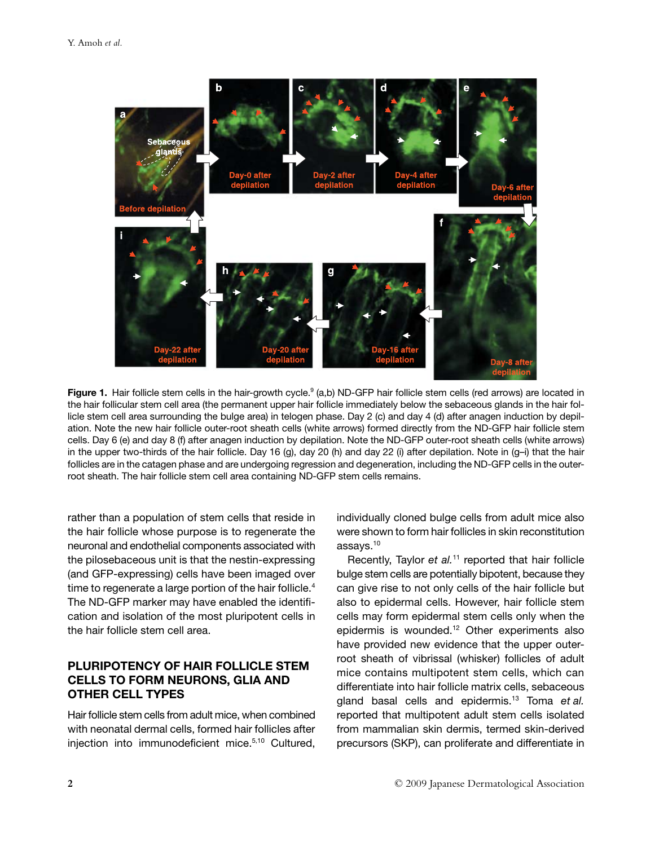

Figure 1. Hair follicle stem cells in the hair-growth cycle.<sup>9</sup> (a,b) ND-GFP hair follicle stem cells (red arrows) are located in the hair follicular stem cell area (the permanent upper hair follicle immediately below the sebaceous glands in the hair follicle stem cell area surrounding the bulge area) in telogen phase. Day 2 (c) and day 4 (d) after anagen induction by depilation. Note the new hair follicle outer-root sheath cells (white arrows) formed directly from the ND-GFP hair follicle stem cells. Day 6 (e) and day 8 (f) after anagen induction by depilation. Note the ND-GFP outer-root sheath cells (white arrows) in the upper two-thirds of the hair follicle. Day 16 (g), day 20 (h) and day 22 (i) after depilation. Note in (g-i) that the hair follicles are in the catagen phase and are undergoing regression and degeneration, including the ND-GFP cells in the outerroot sheath. The hair follicle stem cell area containing ND-GFP stem cells remains.

rather than a population of stem cells that reside in the hair follicle whose purpose is to regenerate the neuronal and endothelial components associated with the pilosebaceous unit is that the nestin-expressing (and GFP-expressing) cells have been imaged over time to regenerate a large portion of the hair follicle.<sup>4</sup> The ND-GFP marker may have enabled the identification and isolation of the most pluripotent cells in the hair follicle stem cell area.

# **PLURIPOTENCY OF HAIR FOLLICLE STEM CELLS TO FORM NEURONS, GLIA AND OTHER CELL TYPES**

Hair follicle stem cells from adult mice, when combined with neonatal dermal cells, formed hair follicles after injection into immunodeficient mice.<sup>5,10</sup> Cultured, individually cloned bulge cells from adult mice also were shown to form hair follicles in skin reconstitution assays.10

Recently, Taylor *et al.*11 reported that hair follicle bulge stem cells are potentially bipotent, because they can give rise to not only cells of the hair follicle but also to epidermal cells. However, hair follicle stem cells may form epidermal stem cells only when the epidermis is wounded.12 Other experiments also have provided new evidence that the upper outerroot sheath of vibrissal (whisker) follicles of adult mice contains multipotent stem cells, which can differentiate into hair follicle matrix cells, sebaceous gland basal cells and epidermis.13 Toma *et al.* reported that multipotent adult stem cells isolated from mammalian skin dermis, termed skin-derived precursors (SKP), can proliferate and differentiate in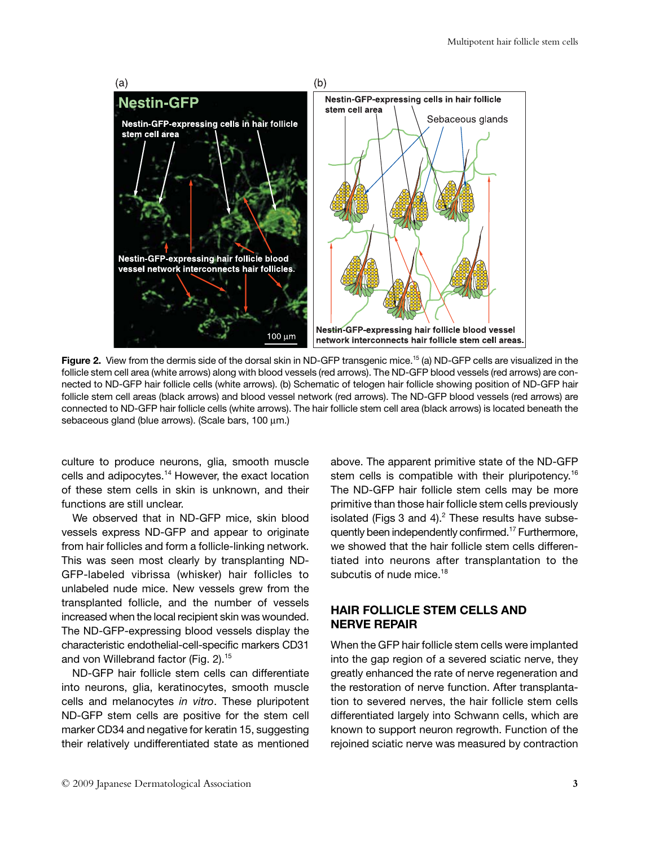

**Figure 2.** View from the dermis side of the dorsal skin in ND-GFP transgenic mice.<sup>15</sup> (a) ND-GFP cells are visualized in the follicle stem cell area (white arrows) along with blood vessels (red arrows). The ND-GFP blood vessels (red arrows) are connected to ND-GFP hair follicle cells (white arrows). (b) Schematic of telogen hair follicle showing position of ND-GFP hair follicle stem cell areas (black arrows) and blood vessel network (red arrows). The ND-GFP blood vessels (red arrows) are connected to ND-GFP hair follicle cells (white arrows). The hair follicle stem cell area (black arrows) is located beneath the sebaceous gland (blue arrows). (Scale bars, 100 μm.)

culture to produce neurons, glia, smooth muscle cells and adipocytes.<sup>14</sup> However, the exact location of these stem cells in skin is unknown, and their functions are still unclear.

We observed that in ND-GFP mice, skin blood vessels express ND-GFP and appear to originate from hair follicles and form a follicle-linking network. This was seen most clearly by transplanting ND-GFP-labeled vibrissa (whisker) hair follicles to unlabeled nude mice. New vessels grew from the transplanted follicle, and the number of vessels increased when the local recipient skin was wounded. The ND-GFP-expressing blood vessels display the characteristic endothelial-cell-specific markers CD31 and von Willebrand factor (Fig. 2).15

ND-GFP hair follicle stem cells can differentiate into neurons, glia, keratinocytes, smooth muscle cells and melanocytes *in vitro*. These pluripotent ND-GFP stem cells are positive for the stem cell marker CD34 and negative for keratin 15, suggesting their relatively undifferentiated state as mentioned

above. The apparent primitive state of the ND-GFP stem cells is compatible with their pluripotency.<sup>16</sup> The ND-GFP hair follicle stem cells may be more primitive than those hair follicle stem cells previously isolated (Figs  $3$  and  $4$ ).<sup>2</sup> These results have subsequently been independently confirmed.17 Furthermore, we showed that the hair follicle stem cells differentiated into neurons after transplantation to the subcutis of nude mice.<sup>18</sup>

## **HAIR FOLLICLE STEM CELLS AND NERVE REPAIR**

When the GFP hair follicle stem cells were implanted into the gap region of a severed sciatic nerve, they greatly enhanced the rate of nerve regeneration and the restoration of nerve function. After transplantation to severed nerves, the hair follicle stem cells differentiated largely into Schwann cells, which are known to support neuron regrowth. Function of the rejoined sciatic nerve was measured by contraction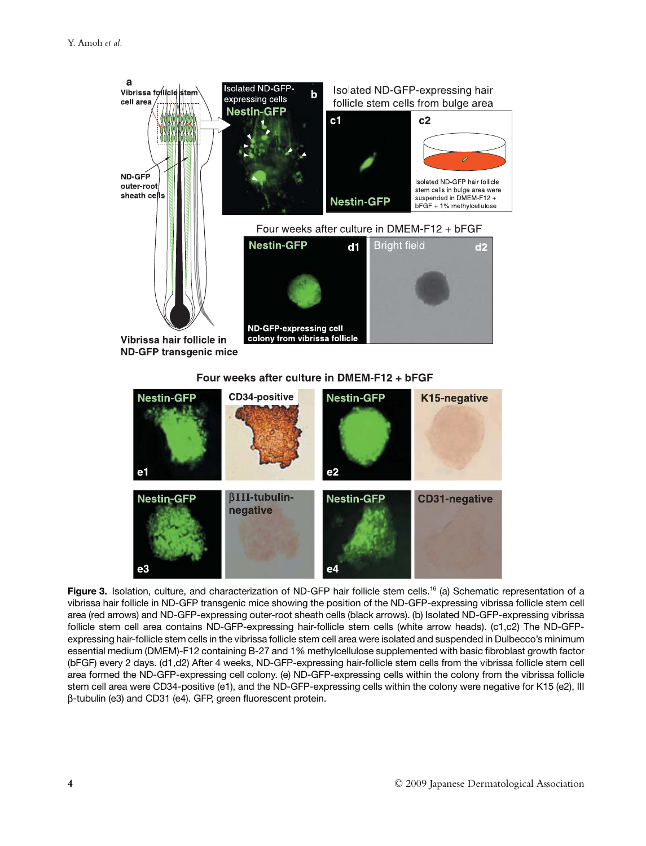



Figure 3. Isolation, culture, and characterization of ND-GFP hair follicle stem cells.<sup>16</sup> (a) Schematic representation of a vibrissa hair follicle in ND-GFP transgenic mice showing the position of the ND-GFP-expressing vibrissa follicle stem cell area (red arrows) and ND-GFP-expressing outer-root sheath cells (black arrows). (b) Isolated ND-GFP-expressing vibrissa follicle stem cell area contains ND-GFP-expressing hair-follicle stem cells (white arrow heads). (c1,c2) The ND-GFPexpressing hair-follicle stem cells in the vibrissa follicle stem cell area were isolated and suspended in Dulbecco's minimum essential medium (DMEM)-F12 containing B-27 and 1% methylcellulose supplemented with basic fibroblast growth factor (bFGF) every 2 days. (d1,d2) After 4 weeks, ND-GFP-expressing hair-follicle stem cells from the vibrissa follicle stem cell area formed the ND-GFP-expressing cell colony. (e) ND-GFP-expressing cells within the colony from the vibrissa follicle stem cell area were CD34-positive (e1), and the ND-GFP-expressing cells within the colony were negative for K15 (e2), III β-tubulin (e3) and CD31 (e4). GFP, green fluorescent protein.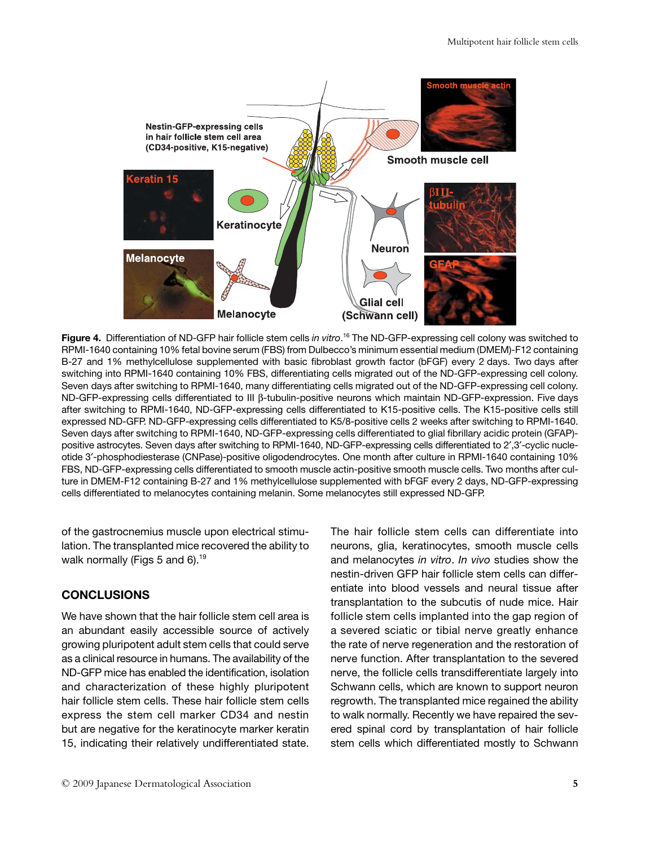

**Figure 4.** Differentiation of ND-GFP hair follicle stem cells *in vitro*. 16 The ND-GFP-expressing cell colony was switched to RPMI-1640 containing 10% fetal bovine serum (FBS) from Dulbecco's minimum essential medium (DMEM)-F12 containing B-27 and 1% methylcellulose supplemented with basic fibroblast growth factor (bFGF) every 2 days. Two days after switching into RPMI-1640 containing 10% FBS, differentiating cells migrated out of the ND-GFP-expressing cell colony. Seven days after switching to RPMI-1640, many differentiating cells migrated out of the ND-GFP-expressing cell colony. ND-GFP-expressing cells differentiated to III β-tubulin-positive neurons which maintain ND-GFP-expression. Five days after switching to RPMI-1640, ND-GFP-expressing cells differentiated to K15-positive cells. The K15-positive cells still expressed ND-GFP. ND-GFP-expressing cells differentiated to K5/8-positive cells 2 weeks after switching to RPMI-1640. Seven days after switching to RPMI-1640, ND-GFP-expressing cells differentiated to glial fibrillary acidic protein (GFAP) positive astrocytes. Seven days after switching to RPMI-1640, ND-GFP-expressing cells differentiated to 2′,3′-cyclic nucleotide 3′-phosphodiesterase (CNPase)-positive oligodendrocytes. One month after culture in RPMI-1640 containing 10% FBS, ND-GFP-expressing cells differentiated to smooth muscle actin-positive smooth muscle cells. Two months after culture in DMEM-F12 containing B-27 and 1% methylcellulose supplemented with bFGF every 2 days, ND-GFP-expressing cells differentiated to melanocytes containing melanin. Some melanocytes still expressed ND-GFP.

of the gastrocnemius muscle upon electrical stimulation. The transplanted mice recovered the ability to walk normally (Figs 5 and 6).<sup>19</sup>

## **CONCLUSIONS**

We have shown that the hair follicle stem cell area is an abundant easily accessible source of actively growing pluripotent adult stem cells that could serve as a clinical resource in humans. The availability of the ND-GFP mice has enabled the identification, isolation and characterization of these highly pluripotent hair follicle stem cells. These hair follicle stem cells express the stem cell marker CD34 and nestin but are negative for the keratinocyte marker keratin 15, indicating their relatively undifferentiated state.

The hair follicle stem cells can differentiate into neurons, glia, keratinocytes, smooth muscle cells and melanocytes *in vitro*. *In vivo* studies show the nestin-driven GFP hair follicle stem cells can differentiate into blood vessels and neural tissue after transplantation to the subcutis of nude mice. Hair follicle stem cells implanted into the gap region of a severed sciatic or tibial nerve greatly enhance the rate of nerve regeneration and the restoration of nerve function. After transplantation to the severed nerve, the follicle cells transdifferentiate largely into Schwann cells, which are known to support neuron regrowth. The transplanted mice regained the ability to walk normally. Recently we have repaired the severed spinal cord by transplantation of hair follicle stem cells which differentiated mostly to Schwann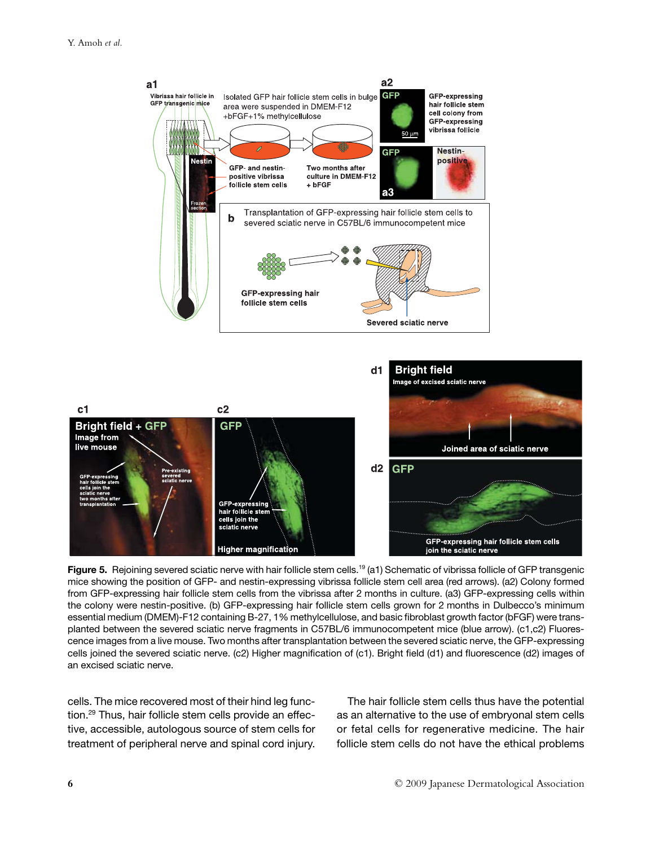

**Figure 5.** Rejoining severed sciatic nerve with hair follicle stem cells.<sup>19</sup> (a1) Schematic of vibrissa follicle of GFP transgenic mice showing the position of GFP- and nestin-expressing vibrissa follicle stem cell area (red arrows). (a2) Colony formed from GFP-expressing hair follicle stem cells from the vibrissa after 2 months in culture. (a3) GFP-expressing cells within the colony were nestin-positive. (b) GFP-expressing hair follicle stem cells grown for 2 months in Dulbecco's minimum essential medium (DMEM)-F12 containing B-27, 1% methylcellulose, and basic fibroblast growth factor (bFGF) were transplanted between the severed sciatic nerve fragments in C57BL/6 immunocompetent mice (blue arrow). (c1,c2) Fluorescence images from a live mouse. Two months after transplantation between the severed sciatic nerve, the GFP-expressing cells joined the severed sciatic nerve. (c2) Higher magnification of (c1). Bright field (d1) and fluorescence (d2) images of an excised sciatic nerve.

cells. The mice recovered most of their hind leg function.<sup>29</sup> Thus, hair follicle stem cells provide an effective, accessible, autologous source of stem cells for treatment of peripheral nerve and spinal cord injury.

The hair follicle stem cells thus have the potential as an alternative to the use of embryonal stem cells or fetal cells for regenerative medicine. The hair follicle stem cells do not have the ethical problems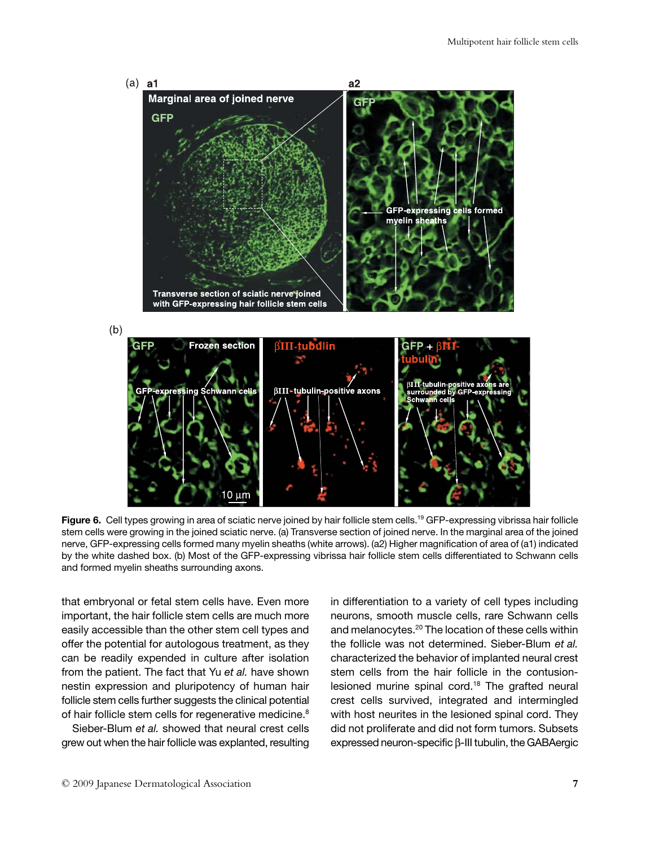

Figure 6. Cell types growing in area of sciatic nerve joined by hair follicle stem cells.<sup>19</sup> GFP-expressing vibrissa hair follicle stem cells were growing in the joined sciatic nerve. (a) Transverse section of joined nerve. In the marginal area of the joined nerve, GFP-expressing cells formed many myelin sheaths (white arrows). (a2) Higher magnification of area of (a1) indicated by the white dashed box. (b) Most of the GFP-expressing vibrissa hair follicle stem cells differentiated to Schwann cells and formed myelin sheaths surrounding axons.

that embryonal or fetal stem cells have. Even more important, the hair follicle stem cells are much more easily accessible than the other stem cell types and offer the potential for autologous treatment, as they can be readily expended in culture after isolation from the patient. The fact that Yu *et al.* have shown nestin expression and pluripotency of human hair follicle stem cells further suggests the clinical potential of hair follicle stem cells for regenerative medicine.<sup>8</sup>

Sieber-Blum *et al.* showed that neural crest cells grew out when the hair follicle was explanted, resulting in differentiation to a variety of cell types including neurons, smooth muscle cells, rare Schwann cells and melanocytes.20 The location of these cells within the follicle was not determined. Sieber-Blum *et al.* characterized the behavior of implanted neural crest stem cells from the hair follicle in the contusionlesioned murine spinal cord.<sup>18</sup> The grafted neural crest cells survived, integrated and intermingled with host neurites in the lesioned spinal cord. They did not proliferate and did not form tumors. Subsets expressed neuron-specific β-III tubulin, the GABAergic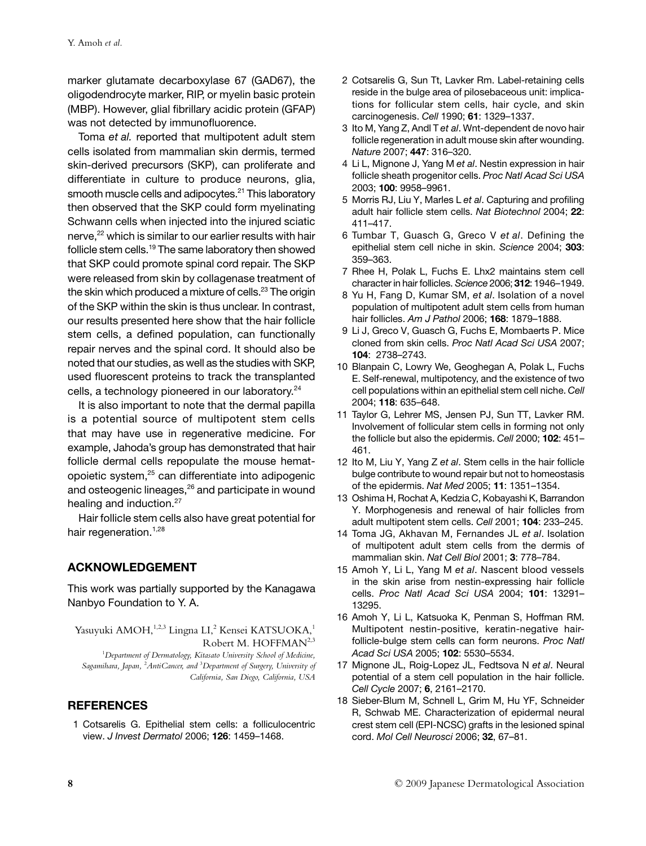marker glutamate decarboxylase 67 (GAD67), the oligodendrocyte marker, RIP, or myelin basic protein (MBP). However, glial fibrillary acidic protein (GFAP) was not detected by immunofluorence.

Toma *et al.* reported that multipotent adult stem cells isolated from mammalian skin dermis, termed skin-derived precursors (SKP), can proliferate and differentiate in culture to produce neurons, glia, smooth muscle cells and adipocytes.<sup>21</sup> This laboratory then observed that the SKP could form myelinating Schwann cells when injected into the injured sciatic nerve,<sup>22</sup> which is similar to our earlier results with hair follicle stem cells.<sup>19</sup> The same laboratory then showed that SKP could promote spinal cord repair. The SKP were released from skin by collagenase treatment of the skin which produced a mixture of cells.<sup>23</sup> The origin of the SKP within the skin is thus unclear. In contrast, our results presented here show that the hair follicle stem cells, a defined population, can functionally repair nerves and the spinal cord. It should also be noted that our studies, as well as the studies with SKP, used fluorescent proteins to track the transplanted cells, a technology pioneered in our laboratory.<sup>24</sup>

It is also important to note that the dermal papilla is a potential source of multipotent stem cells that may have use in regenerative medicine. For example, Jahoda's group has demonstrated that hair follicle dermal cells repopulate the mouse hematopoietic system,25 can differentiate into adipogenic and osteogenic lineages,<sup>26</sup> and participate in wound healing and induction.<sup>27</sup>

Hair follicle stem cells also have great potential for hair regeneration.<sup>1,28</sup>

# **ACKNOWLEDGEMENT**

This work was partially supported by the Kanagawa Nanbyo Foundation to Y. A.

Yasuyuki AMOH,<sup>1,2,3</sup> Lingna LI,<sup>2</sup> Kensei KATSUOKA,<sup>1</sup> Robert M. HOFFMAN<sup>2,3</sup>

1 *Department of Dermatology, Kitasato University School of Medicine, Sagamihara, Japan,* <sup>2</sup> *AntiCancer, and* <sup>3</sup> *Department of Surgery, University of California, San Diego, California, USA*

#### **REFERENCES**

1 Cotsarelis G. Epithelial stem cells: a folliculocentric view. *J Invest Dermatol* 2006; **126**: 1459–1468.

- 2 Cotsarelis G, Sun Tt, Lavker Rm. Label-retaining cells reside in the bulge area of pilosebaceous unit: implications for follicular stem cells, hair cycle, and skin carcinogenesis. *Cell* 1990; **61**: 1329–1337.
- 3 Ito M, Yang Z, Andl T *et al*. Wnt-dependent de novo hair follicle regeneration in adult mouse skin after wounding. *Nature* 2007; **447**: 316–320.
- 4 Li L, Mignone J, Yang M *et al*. Nestin expression in hair follicle sheath progenitor cells. *Proc Natl Acad Sci USA* 2003; **100**: 9958–9961.
- 5 Morris RJ, Liu Y, Marles L *et al*. Capturing and profiling adult hair follicle stem cells. *Nat Biotechnol* 2004; **22**: 411–417.
- 6 Tumbar T, Guasch G, Greco V *et al*. Defining the epithelial stem cell niche in skin. *Science* 2004; **303**: 359–363.
- 7 Rhee H, Polak L, Fuchs E. Lhx2 maintains stem cell character in hair follicles. *Science* 2006; **312**: 1946–1949.
- 8 Yu H, Fang D, Kumar SM, *et al*. Isolation of a novel population of multipotent adult stem cells from human hair follicles. *Am J Pathol* 2006; **168**: 1879–1888.
- 9 Li J, Greco V, Guasch G, Fuchs E, Mombaerts P. Mice cloned from skin cells. *Proc Natl Acad Sci USA* 2007; **104**: 2738–2743.
- 10 Blanpain C, Lowry We, Geoghegan A, Polak L, Fuchs E. Self-renewal, multipotency, and the existence of two cell populations within an epithelial stem cell niche. *Cell* 2004; **118**: 635–648.
- 11 Taylor G, Lehrer MS, Jensen PJ, Sun TT, Lavker RM. Involvement of follicular stem cells in forming not only the follicle but also the epidermis. *Cell* 2000; **102**: 451– 461.
- 12 Ito M, Liu Y, Yang Z *et al*. Stem cells in the hair follicle bulge contribute to wound repair but not to homeostasis of the epidermis. *Nat Med* 2005; **11**: 1351–1354.
- 13 Oshima H, Rochat A, Kedzia C, Kobayashi K, Barrandon Y. Morphogenesis and renewal of hair follicles from adult multipotent stem cells. *Cell* 2001; **104**: 233–245.
- 14 Toma JG, Akhavan M, Fernandes JL *et al*. Isolation of multipotent adult stem cells from the dermis of mammalian skin. *Nat Cell Biol* 2001; **3**: 778–784.
- 15 Amoh Y, Li L, Yang M *et al*. Nascent blood vessels in the skin arise from nestin-expressing hair follicle cells. *Proc Natl Acad Sci USA* 2004; **101**: 13291– 13295.
- 16 Amoh Y, Li L, Katsuoka K, Penman S, Hoffman RM. Multipotent nestin-positive, keratin-negative hairfollicle-bulge stem cells can form neurons. *Proc Natl Acad Sci USA* 2005; **102**: 5530–5534.
- 17 Mignone JL, Roig-Lopez JL, Fedtsova N *et al*. Neural potential of a stem cell population in the hair follicle. *Cell Cycle* 2007; **6**, 2161–2170.
- 18 Sieber-Blum M, Schnell L, Grim M, Hu YF, Schneider R, Schwab ME. Characterization of epidermal neural crest stem cell (EPI-NCSC) grafts in the lesioned spinal cord. *Mol Cell Neurosci* 2006; **32**, 67–81.